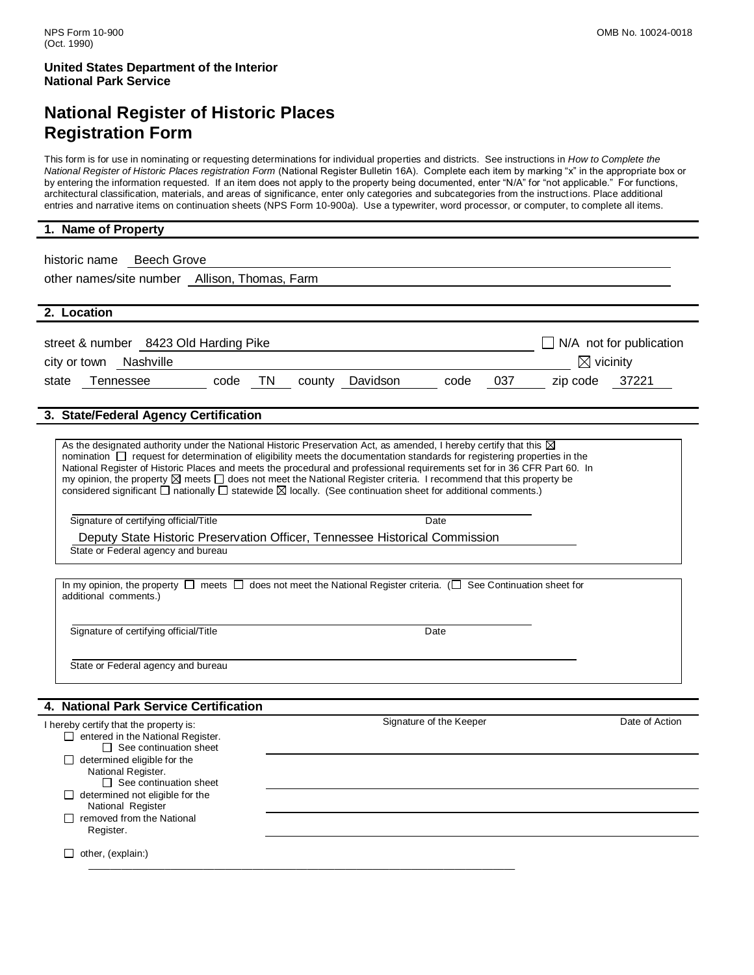## **National Register of Historic Places Registration Form**

This form is for use in nominating or requesting determinations for individual properties and districts. See instructions in *How to Complete the National Register of Historic Places registration Form* (National Register Bulletin 16A). Complete each item by marking "x" in the appropriate box or by entering the information requested. If an item does not apply to the property being documented, enter "N/A" for "not applicable." For functions, architectural classification, materials, and areas of significance, enter only categories and subcategories from the instructions. Place additional entries and narrative items on continuation sheets (NPS Form 10-900a). Use a typewriter, word processor, or computer, to complete all items.

#### **1. Name of Property**

historic name Beech Grove other names/site number Allison, Thomas, Farm **2. Location** street & number 8423 Old Harding Pike N/A not for publication city or town Nashville vicinity state Tennessee code TN county Davidson code 037 zip code 37221

#### **3. State/Federal Agency Certification**

As the designated authority under the National Historic Preservation Act, as amended, I hereby certify that this  $\boxtimes$ nomination  $\Box$  request for determination of eligibility meets the documentation standards for registering properties in the National Register of Historic Places and meets the procedural and professional requirements set for in 36 CFR Part 60. In my opinion, the property  $\boxtimes$  meets  $\Box$  does not meet the National Register criteria. I recommend that this property be considered significant  $\Box$  nationally  $\Box$  statewide  $\boxtimes$  locally. (See continuation sheet for additional comments.)

Signature of certifying official/Title Date

Deputy State Historic Preservation Officer, Tennessee Historical Commission State or Federal agency and bureau

In my opinion, the property  $\Box$  meets  $\Box$  does not meet the National Register criteria. ( $\Box$  See Continuation sheet for additional comments.)

Signature of certifying official/Title Date

State or Federal agency and bureau

#### **4. National Park Service Certification**

| I hereby certify that the property is:   | Signature of the Keeper | Date of Action |
|------------------------------------------|-------------------------|----------------|
| $\Box$ entered in the National Register. |                         |                |
| $\Box$ See continuation sheet            |                         |                |
| $\Box$ determined eligible for the       |                         |                |
| National Register.                       |                         |                |
| $\Box$ See continuation sheet            |                         |                |
| $\Box$ determined not eligible for the   |                         |                |
| National Register                        |                         |                |
| removed from the National                |                         |                |
| Register.                                |                         |                |
|                                          |                         |                |
| other, (explain:)                        |                         |                |
|                                          |                         |                |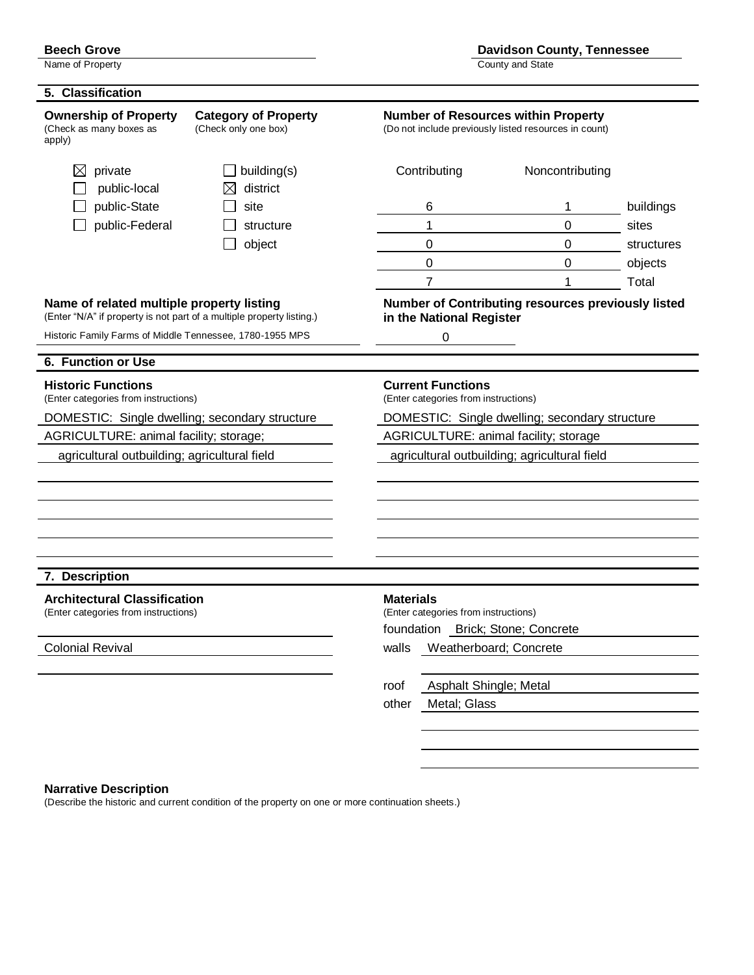Name of Property **County and State** 

#### **5. Classification**

**Ownership of Property** Category of Property<br>
(Check as many boxes as (Check only one box) (Do not include previously listed resources in count) (Check as many boxes as apply)

(Do not include previously listed resources in count)

| $\boxtimes$<br>private                                                                                             | building(s)      | Contributing                                                     | Noncontributing                                           |            |  |
|--------------------------------------------------------------------------------------------------------------------|------------------|------------------------------------------------------------------|-----------------------------------------------------------|------------|--|
| public-local<br>public-State                                                                                       | district<br>site |                                                                  | 1                                                         | buildings  |  |
|                                                                                                                    |                  | 6<br>1                                                           | 0                                                         |            |  |
| public-Federal                                                                                                     | structure        |                                                                  | $\mathbf 0$                                               | sites      |  |
|                                                                                                                    | object           | 0                                                                |                                                           | structures |  |
|                                                                                                                    |                  | 0                                                                | 0                                                         | objects    |  |
|                                                                                                                    |                  | $\overline{7}$                                                   | 1                                                         | Total      |  |
| Name of related multiple property listing<br>(Enter "N/A" if property is not part of a multiple property listing.) |                  | in the National Register                                         | <b>Number of Contributing resources previously listed</b> |            |  |
| Historic Family Farms of Middle Tennessee, 1780-1955 MPS                                                           |                  | 0                                                                |                                                           |            |  |
| 6. Function or Use                                                                                                 |                  |                                                                  |                                                           |            |  |
| <b>Historic Functions</b><br>(Enter categories from instructions)                                                  |                  | <b>Current Functions</b><br>(Enter categories from instructions) |                                                           |            |  |
| DOMESTIC: Single dwelling; secondary structure                                                                     |                  | DOMESTIC: Single dwelling; secondary structure                   |                                                           |            |  |
| AGRICULTURE: animal facility; storage;                                                                             |                  | AGRICULTURE: animal facility; storage                            |                                                           |            |  |
| agricultural outbuilding; agricultural field                                                                       |                  | agricultural outbuilding; agricultural field                     |                                                           |            |  |
|                                                                                                                    |                  |                                                                  |                                                           |            |  |
|                                                                                                                    |                  |                                                                  |                                                           |            |  |
|                                                                                                                    |                  |                                                                  |                                                           |            |  |
|                                                                                                                    |                  |                                                                  |                                                           |            |  |
|                                                                                                                    |                  |                                                                  |                                                           |            |  |
| 7. Description                                                                                                     |                  |                                                                  |                                                           |            |  |
| <b>Architectural Classification</b>                                                                                |                  | <b>Materials</b>                                                 |                                                           |            |  |
| (Enter categories from instructions)                                                                               |                  | (Enter categories from instructions)                             |                                                           |            |  |
|                                                                                                                    |                  | foundation Brick; Stone; Concrete                                |                                                           |            |  |
| <b>Colonial Revival</b>                                                                                            |                  | walls                                                            | Weatherboard; Concrete                                    |            |  |
|                                                                                                                    |                  |                                                                  |                                                           |            |  |
|                                                                                                                    |                  | roof                                                             | Asphalt Shingle; Metal                                    |            |  |
|                                                                                                                    |                  | Metal; Glass<br>other                                            |                                                           |            |  |
|                                                                                                                    |                  |                                                                  |                                                           |            |  |

#### **Narrative Description**

(Describe the historic and current condition of the property on one or more continuation sheets.)

**Beech Grove Davidson County, Tennessee**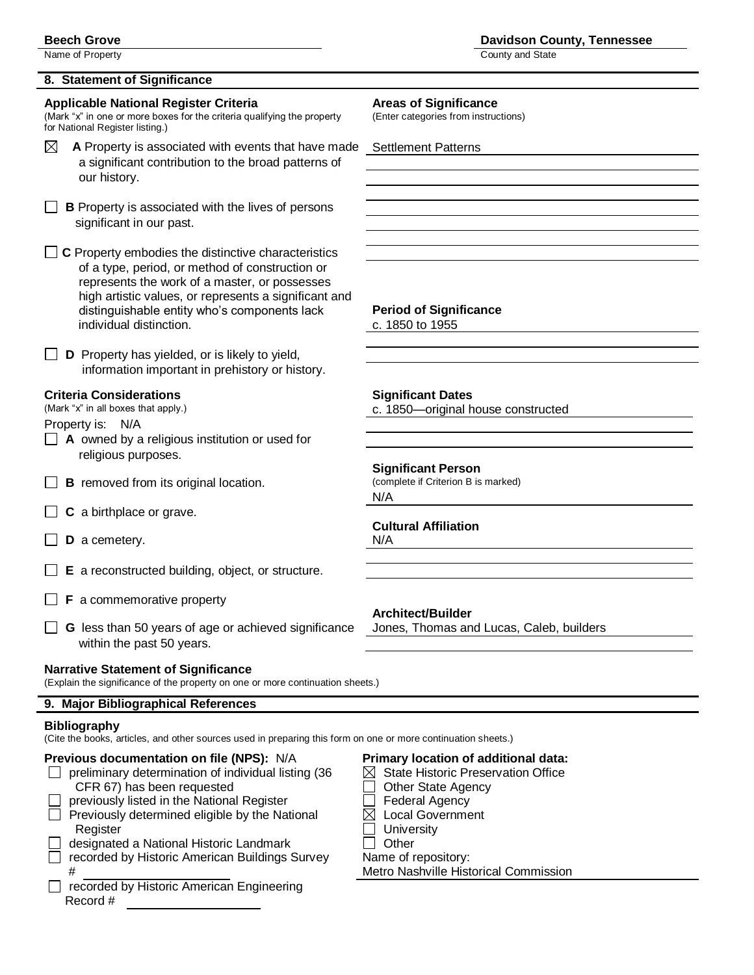Name of Property **County and State** 

### **8. Statement of Significance**

#### **Applicable National Register Criteria Areas of Significance**

(Mark "x" in one or more boxes for the criteria qualifying the property (Enter categories from instructions) for National Register listing.)

- $\boxtimes$  **A** Property is associated with events that have made Settlement Patterns a significant contribution to the broad patterns of our history.
- **B** Property is associated with the lives of persons significant in our past.

**□ C** Property embodies the distinctive characteristics of a type, period, or method of construction or represents the work of a master, or possesses high artistic values, or represents a significant and distinguishable entity who"s components lack **Period of Significance** individual distinction. C. 1850 to 1955

**D** Property has yielded, or is likely to yield, information important in prehistory or history.

#### **Criteria Considerations Mateurs Significant Dates**

Property is: N/A

- □ **A** owned by a religious institution or used for religious purposes.
- **B** removed from its original location. (complete if Criterion B is marked)
- □ **C** a birthplace or grave.
- **D** a cemetery. N/A
- **E** a reconstructed building, object, or structure.
- **F** a commemorative property
- **G** less than 50 years of age or achieved significance Jones, Thomas and Lucas, Caleb, builders within the past 50 years.

#### **Narrative Statement of Significance**

(Explain the significance of the property on one or more continuation sheets.)

### **9. Major Bibliographical References**

#### **Bibliography**

(Cite the books, articles, and other sources used in preparing this form on one or more continuation sheets.)

| Previous documentation on file (NPS): N/A           | <b>Primary I</b> |
|-----------------------------------------------------|------------------|
| preliminary determination of individual listing (36 | <b>State</b>     |
| CFR 67) has been requested                          | Other            |
| previously listed in the National Register          | Feder            |
| Previously determined eligible by the National      | Local            |
| Register                                            | Unive            |
| designated a National Historic Landmark             | Other            |
| recorded by Historic American Buildings Survey      | Name of I        |
| #                                                   | Metro Na         |
| recorded by Historic American Engineering           |                  |
| Record #                                            |                  |

(Mark "x" in all boxes that apply.) c. 1850—original house constructed

#### **Significant Person**

N/A

## **Cultural Affiliation**

#### **Architect/Builder**

## **Praction of additional data:**

- **State Historic Preservation Office**
- **Other State Agency**
- Federal Agency
- Local Government
- University
- 
- me of repository:

tro Nashville Historical Commission

**Beech Grove Davidson County, Tennessee**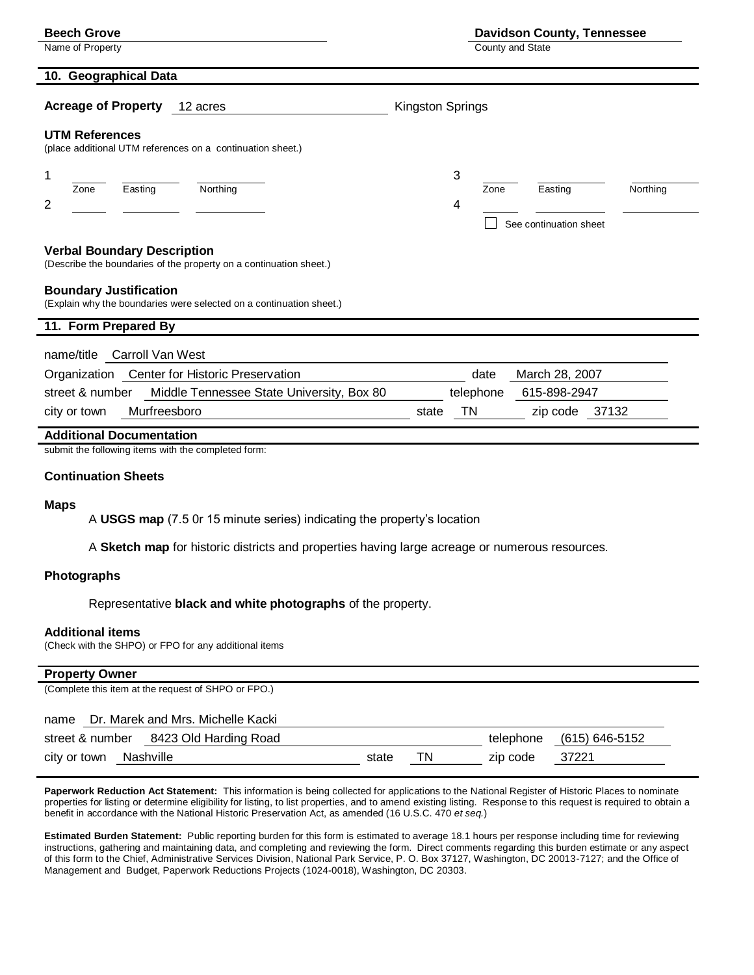| <b>Beech Grove</b>         |                       |                                                            | <b>Davidson County, Tennessee</b> |         |          |  |  |
|----------------------------|-----------------------|------------------------------------------------------------|-----------------------------------|---------|----------|--|--|
| Name of Property           |                       |                                                            | County and State                  |         |          |  |  |
|                            | 10. Geographical Data |                                                            |                                   |         |          |  |  |
| <b>Acreage of Property</b> |                       | 12 acres                                                   | Kingston Springs                  |         |          |  |  |
| <b>UTM References</b>      |                       |                                                            |                                   |         |          |  |  |
|                            |                       | (place additional UTM references on a continuation sheet.) |                                   |         |          |  |  |
|                            |                       |                                                            | 3                                 |         |          |  |  |
| 1<br>Zone                  | Easting               | Northing                                                   | Zone                              | Easting | Northing |  |  |
| 2                          |                       |                                                            | 4                                 |         |          |  |  |

#### **Verbal Boundary Description** (Describe the boundaries of the property on a continuation sheet.)

#### **Boundary Justification**

(Explain why the boundaries were selected on a continuation sheet.)

| 11. Form Prepared By                                         |                                |  |  |  |
|--------------------------------------------------------------|--------------------------------|--|--|--|
| name/title Carroll Van West                                  |                                |  |  |  |
| Organization Center for Historic Preservation                | March 28, 2007<br>date         |  |  |  |
| Middle Tennessee State University, Box 80<br>street & number | 615-898-2947<br>telephone      |  |  |  |
| Murfreesboro<br>city or town                                 | TN.<br>zip code 37132<br>state |  |  |  |

#### **Additional Documentation**

submit the following items with the completed form:

#### **Continuation Sheets**

#### **Maps**

A **USGS map** (7.5 0r 15 minute series) indicating the property"s location

A **Sketch map** for historic districts and properties having large acreage or numerous resources.

#### **Photographs**

Representative **black and white photographs** of the property.

#### **Additional items**

(Check with the SHPO) or FPO for any additional items

#### **Property Owner**

(Complete this item at the request of SHPO or FPO.)

#### name Dr. Marek and Mrs. Michelle Kacki

| street & number 8423 Old Harding Road |  |  |       |     | telephone (615) 646-5152 |         |
|---------------------------------------|--|--|-------|-----|--------------------------|---------|
| city or town Nashville                |  |  | state | TN. | zip code                 | - 37221 |

**Paperwork Reduction Act Statement:** This information is being collected for applications to the National Register of Historic Places to nominate properties for listing or determine eligibility for listing, to list properties, and to amend existing listing. Response to this request is required to obtain a benefit in accordance with the National Historic Preservation Act, as amended (16 U.S.C. 470 *et seq.*)

**Estimated Burden Statement:** Public reporting burden for this form is estimated to average 18.1 hours per response including time for reviewing instructions, gathering and maintaining data, and completing and reviewing the form. Direct comments regarding this burden estimate or any aspect of this form to the Chief, Administrative Services Division, National Park Service, P. O. Box 37127, Washington, DC 20013-7127; and the Office of Management and Budget, Paperwork Reductions Projects (1024-0018), Washington, DC 20303.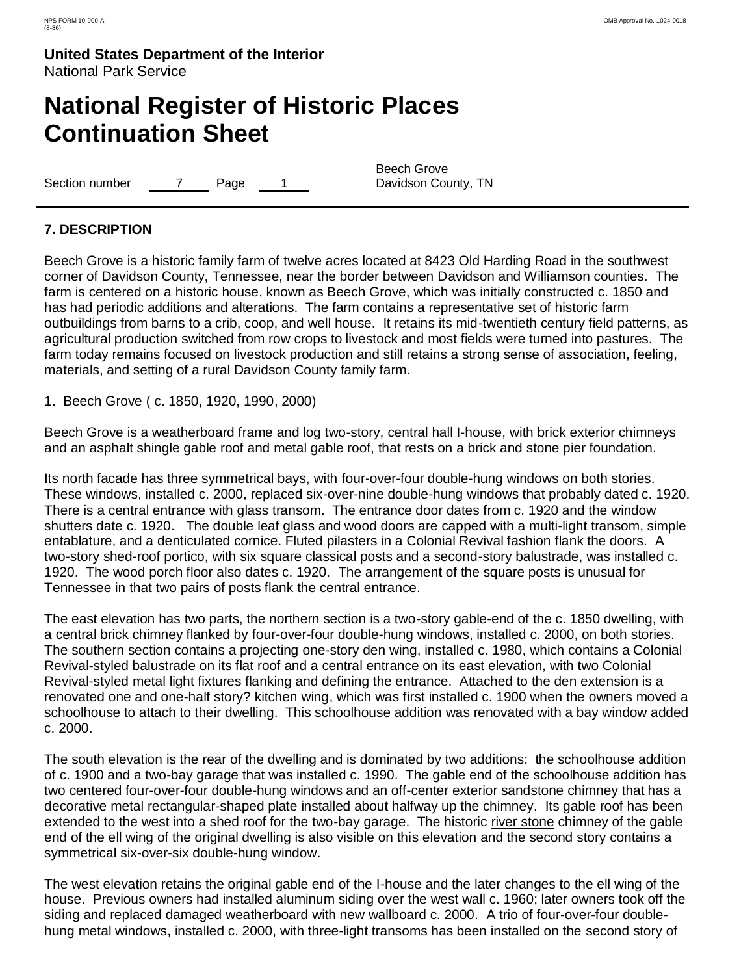# **National Register of Historic Places Continuation Sheet**

Section number 7 Page 1

Beech Grove Davidson County, TN

### **7. DESCRIPTION**

Beech Grove is a historic family farm of twelve acres located at 8423 Old Harding Road in the southwest corner of Davidson County, Tennessee, near the border between Davidson and Williamson counties. The farm is centered on a historic house, known as Beech Grove, which was initially constructed c. 1850 and has had periodic additions and alterations. The farm contains a representative set of historic farm outbuildings from barns to a crib, coop, and well house. It retains its mid-twentieth century field patterns, as agricultural production switched from row crops to livestock and most fields were turned into pastures. The farm today remains focused on livestock production and still retains a strong sense of association, feeling, materials, and setting of a rural Davidson County family farm.

1. Beech Grove ( c. 1850, 1920, 1990, 2000)

Beech Grove is a weatherboard frame and log two-story, central hall I-house, with brick exterior chimneys and an asphalt shingle gable roof and metal gable roof, that rests on a brick and stone pier foundation.

Its north facade has three symmetrical bays, with four-over-four double-hung windows on both stories. These windows, installed c. 2000, replaced six-over-nine double-hung windows that probably dated c. 1920. There is a central entrance with glass transom. The entrance door dates from c. 1920 and the window shutters date c. 1920. The double leaf glass and wood doors are capped with a multi-light transom, simple entablature, and a denticulated cornice. Fluted pilasters in a Colonial Revival fashion flank the doors. A two-story shed-roof portico, with six square classical posts and a second-story balustrade, was installed c. 1920. The wood porch floor also dates c. 1920. The arrangement of the square posts is unusual for Tennessee in that two pairs of posts flank the central entrance.

The east elevation has two parts, the northern section is a two-story gable-end of the c. 1850 dwelling, with a central brick chimney flanked by four-over-four double-hung windows, installed c. 2000, on both stories. The southern section contains a projecting one-story den wing, installed c. 1980, which contains a Colonial Revival-styled balustrade on its flat roof and a central entrance on its east elevation, with two Colonial Revival-styled metal light fixtures flanking and defining the entrance. Attached to the den extension is a renovated one and one-half story? kitchen wing, which was first installed c. 1900 when the owners moved a schoolhouse to attach to their dwelling. This schoolhouse addition was renovated with a bay window added c. 2000.

The south elevation is the rear of the dwelling and is dominated by two additions: the schoolhouse addition of c. 1900 and a two-bay garage that was installed c. 1990. The gable end of the schoolhouse addition has two centered four-over-four double-hung windows and an off-center exterior sandstone chimney that has a decorative metal rectangular-shaped plate installed about halfway up the chimney. Its gable roof has been extended to the west into a shed roof for the two-bay garage. The historic river stone chimney of the gable end of the ell wing of the original dwelling is also visible on this elevation and the second story contains a symmetrical six-over-six double-hung window.

The west elevation retains the original gable end of the I-house and the later changes to the ell wing of the house. Previous owners had installed aluminum siding over the west wall c. 1960; later owners took off the siding and replaced damaged weatherboard with new wallboard c. 2000. A trio of four-over-four doublehung metal windows, installed c. 2000, with three-light transoms has been installed on the second story of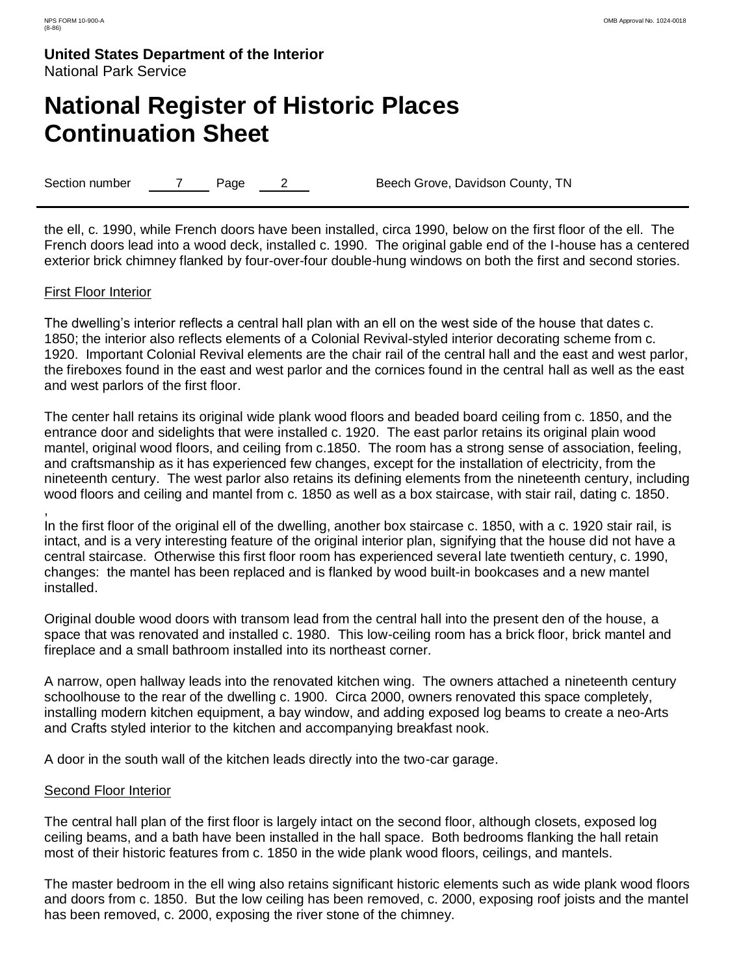# **National Register of Historic Places Continuation Sheet**

Section number 7 Page 2 Beech Grove, Davidson County, TN

the ell, c. 1990, while French doors have been installed, circa 1990, below on the first floor of the ell. The French doors lead into a wood deck, installed c. 1990. The original gable end of the I-house has a centered exterior brick chimney flanked by four-over-four double-hung windows on both the first and second stories.

### First Floor Interior

,

The dwelling's interior reflects a central hall plan with an ell on the west side of the house that dates c. 1850; the interior also reflects elements of a Colonial Revival-styled interior decorating scheme from c. 1920. Important Colonial Revival elements are the chair rail of the central hall and the east and west parlor, the fireboxes found in the east and west parlor and the cornices found in the central hall as well as the east and west parlors of the first floor.

The center hall retains its original wide plank wood floors and beaded board ceiling from c. 1850, and the entrance door and sidelights that were installed c. 1920. The east parlor retains its original plain wood mantel, original wood floors, and ceiling from c.1850. The room has a strong sense of association, feeling, and craftsmanship as it has experienced few changes, except for the installation of electricity, from the nineteenth century. The west parlor also retains its defining elements from the nineteenth century, including wood floors and ceiling and mantel from c. 1850 as well as a box staircase, with stair rail, dating c. 1850.

In the first floor of the original ell of the dwelling, another box staircase c. 1850, with a c. 1920 stair rail, is intact, and is a very interesting feature of the original interior plan, signifying that the house did not have a central staircase. Otherwise this first floor room has experienced several late twentieth century, c. 1990, changes: the mantel has been replaced and is flanked by wood built-in bookcases and a new mantel installed.

Original double wood doors with transom lead from the central hall into the present den of the house, a space that was renovated and installed c. 1980. This low-ceiling room has a brick floor, brick mantel and fireplace and a small bathroom installed into its northeast corner.

A narrow, open hallway leads into the renovated kitchen wing. The owners attached a nineteenth century schoolhouse to the rear of the dwelling c. 1900. Circa 2000, owners renovated this space completely, installing modern kitchen equipment, a bay window, and adding exposed log beams to create a neo-Arts and Crafts styled interior to the kitchen and accompanying breakfast nook.

A door in the south wall of the kitchen leads directly into the two-car garage.

### Second Floor Interior

The central hall plan of the first floor is largely intact on the second floor, although closets, exposed log ceiling beams, and a bath have been installed in the hall space. Both bedrooms flanking the hall retain most of their historic features from c. 1850 in the wide plank wood floors, ceilings, and mantels.

The master bedroom in the ell wing also retains significant historic elements such as wide plank wood floors and doors from c. 1850. But the low ceiling has been removed, c. 2000, exposing roof joists and the mantel has been removed, c. 2000, exposing the river stone of the chimney.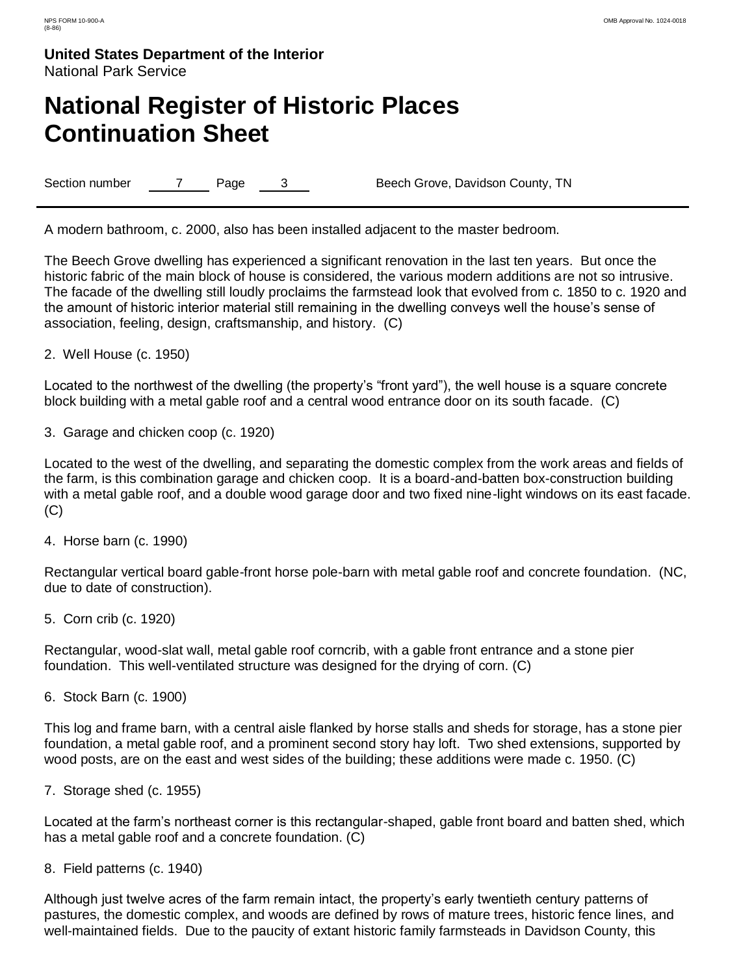# **National Register of Historic Places Continuation Sheet**

Section number 7 Page 3 Beech Grove, Davidson County, TN

A modern bathroom, c. 2000, also has been installed adjacent to the master bedroom.

The Beech Grove dwelling has experienced a significant renovation in the last ten years. But once the historic fabric of the main block of house is considered, the various modern additions are not so intrusive. The facade of the dwelling still loudly proclaims the farmstead look that evolved from c. 1850 to c. 1920 and the amount of historic interior material still remaining in the dwelling conveys well the house"s sense of association, feeling, design, craftsmanship, and history. (C)

2. Well House (c. 1950)

Located to the northwest of the dwelling (the property's "front yard"), the well house is a square concrete block building with a metal gable roof and a central wood entrance door on its south facade. (C)

3. Garage and chicken coop (c. 1920)

Located to the west of the dwelling, and separating the domestic complex from the work areas and fields of the farm, is this combination garage and chicken coop. It is a board-and-batten box-construction building with a metal gable roof, and a double wood garage door and two fixed nine-light windows on its east facade. (C)

4. Horse barn (c. 1990)

Rectangular vertical board gable-front horse pole-barn with metal gable roof and concrete foundation. (NC, due to date of construction).

5. Corn crib (c. 1920)

Rectangular, wood-slat wall, metal gable roof corncrib, with a gable front entrance and a stone pier foundation. This well-ventilated structure was designed for the drying of corn. (C)

6. Stock Barn (c. 1900)

This log and frame barn, with a central aisle flanked by horse stalls and sheds for storage, has a stone pier foundation, a metal gable roof, and a prominent second story hay loft. Two shed extensions, supported by wood posts, are on the east and west sides of the building; these additions were made c. 1950. (C)

7. Storage shed (c. 1955)

Located at the farm"s northeast corner is this rectangular-shaped, gable front board and batten shed, which has a metal gable roof and a concrete foundation. (C)

8. Field patterns (c. 1940)

Although just twelve acres of the farm remain intact, the property"s early twentieth century patterns of pastures, the domestic complex, and woods are defined by rows of mature trees, historic fence lines, and well-maintained fields. Due to the paucity of extant historic family farmsteads in Davidson County, this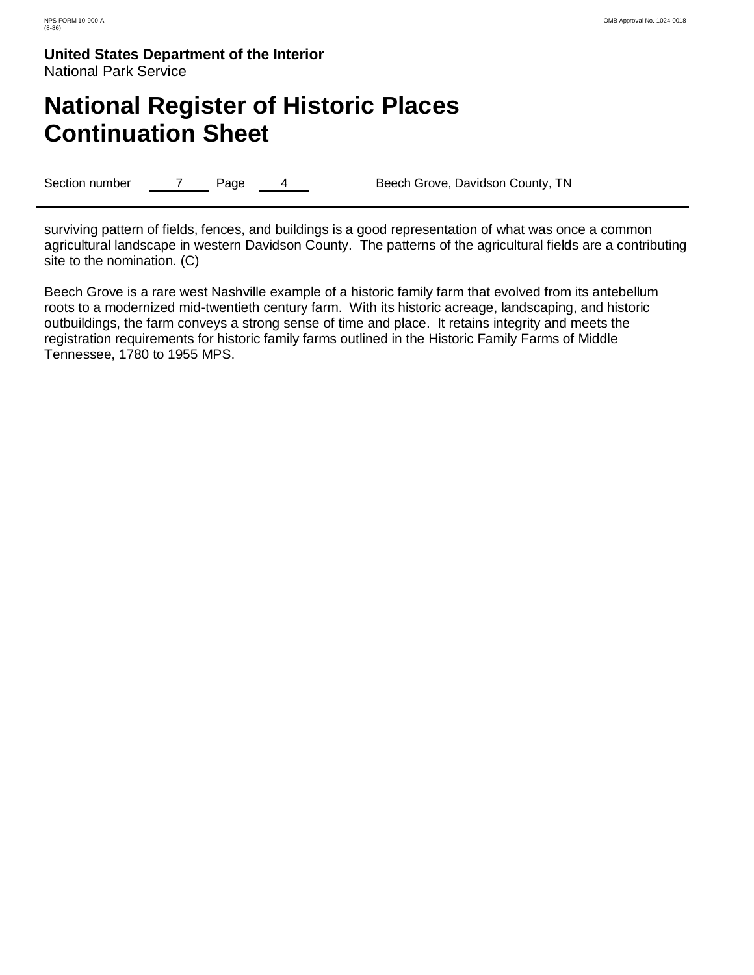# **National Register of Historic Places Continuation Sheet**

Section number 7 Page 4 Beech Grove, Davidson County, TN

surviving pattern of fields, fences, and buildings is a good representation of what was once a common agricultural landscape in western Davidson County. The patterns of the agricultural fields are a contributing site to the nomination. (C)

Beech Grove is a rare west Nashville example of a historic family farm that evolved from its antebellum roots to a modernized mid-twentieth century farm. With its historic acreage, landscaping, and historic outbuildings, the farm conveys a strong sense of time and place. It retains integrity and meets the registration requirements for historic family farms outlined in the Historic Family Farms of Middle Tennessee, 1780 to 1955 MPS.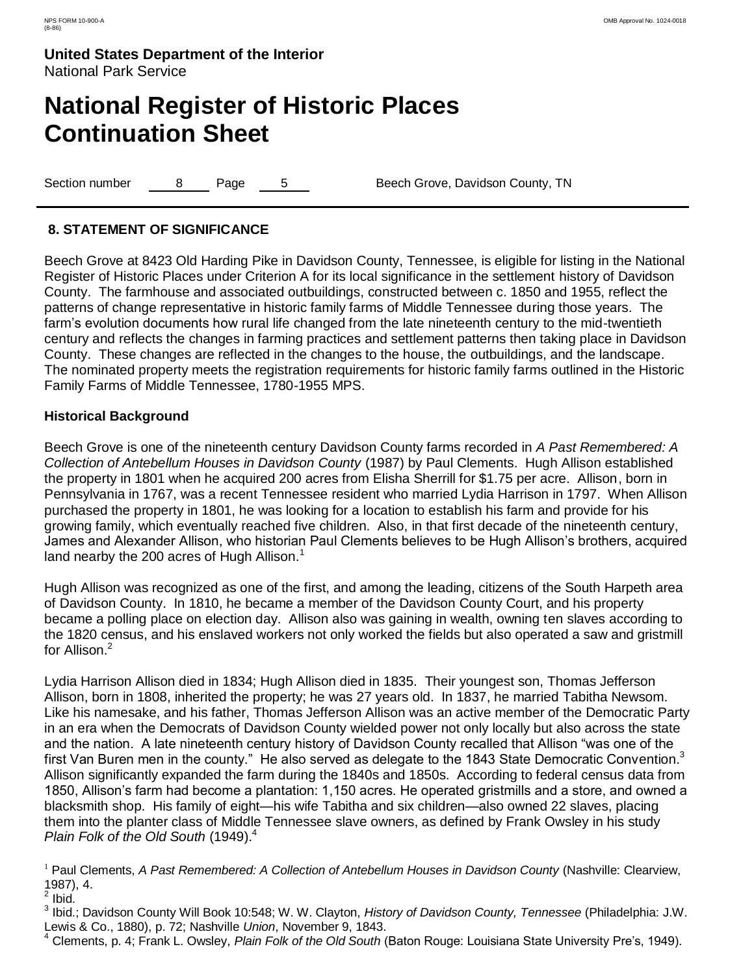# **National Register of Historic Places Continuation Sheet**

Section number a Beech Grove, Davidson County, TN

### **8. STATEMENT OF SIGNIFICANCE**

Beech Grove at 8423 Old Harding Pike in Davidson County, Tennessee, is eligible for listing in the National Register of Historic Places under Criterion A for its local significance in the settlement history of Davidson County. The farmhouse and associated outbuildings, constructed between c. 1850 and 1955, reflect the patterns of change representative in historic family farms of Middle Tennessee during those years. The farm"s evolution documents how rural life changed from the late nineteenth century to the mid-twentieth century and reflects the changes in farming practices and settlement patterns then taking place in Davidson County. These changes are reflected in the changes to the house, the outbuildings, and the landscape. The nominated property meets the registration requirements for historic family farms outlined in the Historic Family Farms of Middle Tennessee, 1780-1955 MPS.

### **Historical Background**

Beech Grove is one of the nineteenth century Davidson County farms recorded in *A Past Remembered: A Collection of Antebellum Houses in Davidson County* (1987) by Paul Clements. Hugh Allison established the property in 1801 when he acquired 200 acres from Elisha Sherrill for \$1.75 per acre. Allison, born in Pennsylvania in 1767, was a recent Tennessee resident who married Lydia Harrison in 1797. When Allison purchased the property in 1801, he was looking for a location to establish his farm and provide for his growing family, which eventually reached five children. Also, in that first decade of the nineteenth century, James and Alexander Allison, who historian Paul Clements believes to be Hugh Allison"s brothers, acquired land nearby the 200 acres of Hugh Allison.<sup>1</sup>

Hugh Allison was recognized as one of the first, and among the leading, citizens of the South Harpeth area of Davidson County. In 1810, he became a member of the Davidson County Court, and his property became a polling place on election day. Allison also was gaining in wealth, owning ten slaves according to the 1820 census, and his enslaved workers not only worked the fields but also operated a saw and gristmill for Allison.<sup>2</sup>

Lydia Harrison Allison died in 1834; Hugh Allison died in 1835. Their youngest son, Thomas Jefferson Allison, born in 1808, inherited the property; he was 27 years old. In 1837, he married Tabitha Newsom. Like his namesake, and his father, Thomas Jefferson Allison was an active member of the Democratic Party in an era when the Democrats of Davidson County wielded power not only locally but also across the state and the nation. A late nineteenth century history of Davidson County recalled that Allison "was one of the first Van Buren men in the county." He also served as delegate to the 1843 State Democratic Convention.<sup>3</sup> Allison significantly expanded the farm during the 1840s and 1850s. According to federal census data from 1850, Allison"s farm had become a plantation: 1,150 acres. He operated gristmills and a store, and owned a blacksmith shop. His family of eight—his wife Tabitha and six children—also owned 22 slaves, placing them into the planter class of Middle Tennessee slave owners, as defined by Frank Owsley in his study *Plain Folk of the Old South* (1949).<sup>4</sup>

<sup>1</sup> Paul Clements, A Past Remembered: A Collection of Antebellum Houses in Davidson County (Nashville: Clearview, 1987), 4.

 $2$  Ibid.

3 Ibid.; Davidson County Will Book 10:548; W. W. Clayton, *History of Davidson County, Tennessee* (Philadelphia: J.W. Lewis & Co., 1880), p. 72; Nashville *Union*, November 9, 1843.

<sup>4</sup> Clements, p. 4; Frank L. Owsley, *Plain Folk of the Old South* (Baton Rouge: Louisiana State University Pre"s, 1949).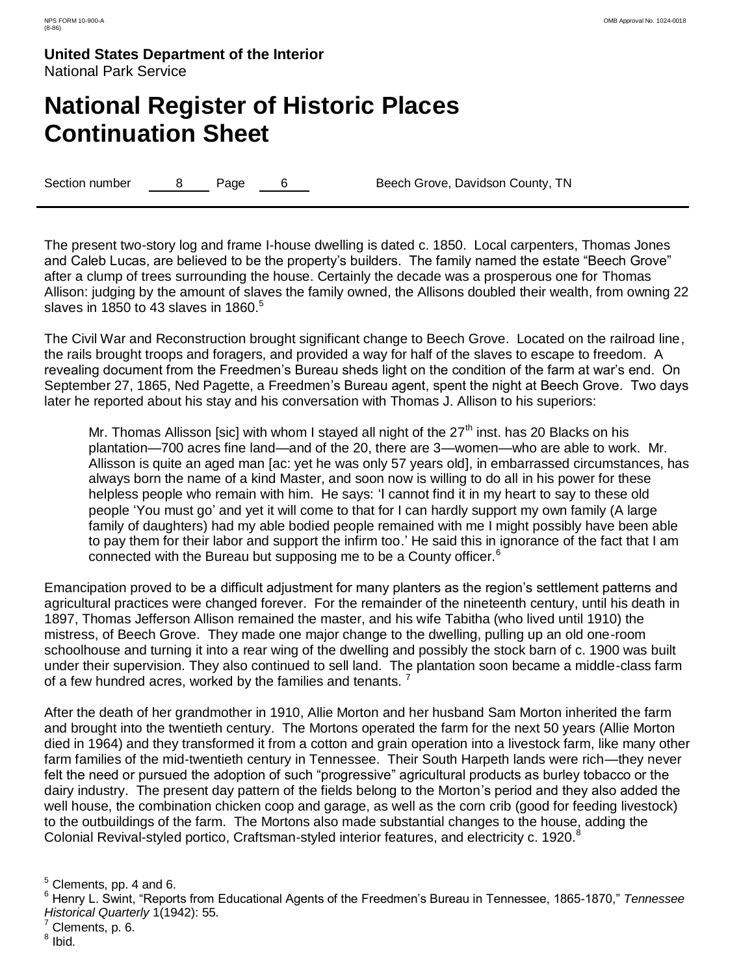# **National Register of Historic Places Continuation Sheet**

Section number a B Page 6 Beech Grove, Davidson County, TN

The present two-story log and frame I-house dwelling is dated c. 1850. Local carpenters, Thomas Jones and Caleb Lucas, are believed to be the property's builders. The family named the estate "Beech Grove" after a clump of trees surrounding the house. Certainly the decade was a prosperous one for Thomas Allison: judging by the amount of slaves the family owned, the Allisons doubled their wealth, from owning 22 slaves in 1850 to 43 slaves in 1860. $5$ 

The Civil War and Reconstruction brought significant change to Beech Grove. Located on the railroad line, the rails brought troops and foragers, and provided a way for half of the slaves to escape to freedom. A revealing document from the Freedmen"s Bureau sheds light on the condition of the farm at war"s end. On September 27, 1865, Ned Pagette, a Freedmen's Bureau agent, spent the night at Beech Grove. Two days later he reported about his stay and his conversation with Thomas J. Allison to his superiors:

Mr. Thomas Allisson [sic] with whom I stayed all night of the  $27<sup>th</sup>$  inst. has 20 Blacks on his plantation—700 acres fine land—and of the 20, there are 3—women—who are able to work. Mr. Allisson is quite an aged man [ac: yet he was only 57 years old], in embarrassed circumstances, has always born the name of a kind Master, and soon now is willing to do all in his power for these helpless people who remain with him. He says: 'I cannot find it in my heart to say to these old people "You must go" and yet it will come to that for I can hardly support my own family (A large family of daughters) had my able bodied people remained with me I might possibly have been able to pay them for their labor and support the infirm too." He said this in ignorance of the fact that I am connected with the Bureau but supposing me to be a County officer.<sup>6</sup>

Emancipation proved to be a difficult adjustment for many planters as the region"s settlement patterns and agricultural practices were changed forever. For the remainder of the nineteenth century, until his death in 1897, Thomas Jefferson Allison remained the master, and his wife Tabitha (who lived until 1910) the mistress, of Beech Grove. They made one major change to the dwelling, pulling up an old one-room schoolhouse and turning it into a rear wing of the dwelling and possibly the stock barn of c. 1900 was built under their supervision. They also continued to sell land. The plantation soon became a middle-class farm of a few hundred acres, worked by the families and tenants.<sup>7</sup>

After the death of her grandmother in 1910, Allie Morton and her husband Sam Morton inherited the farm and brought into the twentieth century. The Mortons operated the farm for the next 50 years (Allie Morton died in 1964) and they transformed it from a cotton and grain operation into a livestock farm, like many other farm families of the mid-twentieth century in Tennessee. Their South Harpeth lands were rich—they never felt the need or pursued the adoption of such "progressive" agricultural products as burley tobacco or the dairy industry. The present day pattern of the fields belong to the Morton"s period and they also added the well house, the combination chicken coop and garage, as well as the corn crib (good for feeding livestock) to the outbuildings of the farm. The Mortons also made substantial changes to the house, adding the Colonial Revival-styled portico, Craftsman-styled interior features, and electricity c. 1920.<sup>8</sup>

<sup>8</sup> Ibid.

 $<sup>5</sup>$  Clements, pp. 4 and 6.</sup>

<sup>6</sup> Henry L. Swint, "Reports from Educational Agents of the Freedmen"s Bureau in Tennessee, 1865-1870," *Tennessee Historical Quarterly* 1(1942): 55.

 $7$  Clements, p. 6.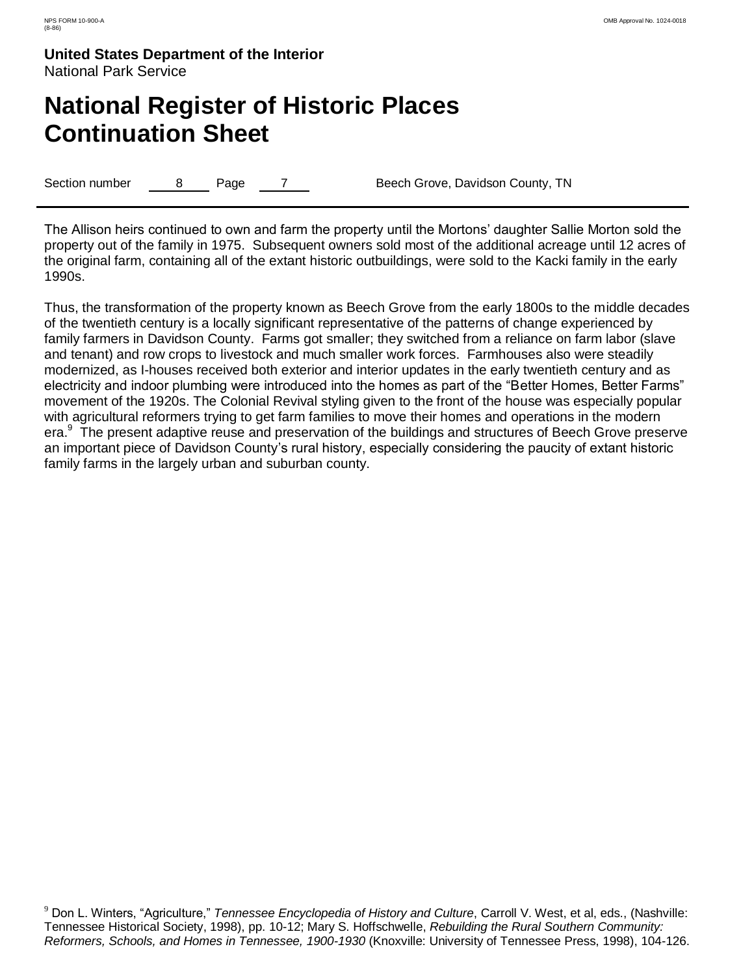# **National Register of Historic Places Continuation Sheet**

Section number a B Page 7 Beech Grove, Davidson County, TN

The Allison heirs continued to own and farm the property until the Mortons" daughter Sallie Morton sold the property out of the family in 1975. Subsequent owners sold most of the additional acreage until 12 acres of the original farm, containing all of the extant historic outbuildings, were sold to the Kacki family in the early 1990s.

Thus, the transformation of the property known as Beech Grove from the early 1800s to the middle decades of the twentieth century is a locally significant representative of the patterns of change experienced by family farmers in Davidson County. Farms got smaller; they switched from a reliance on farm labor (slave and tenant) and row crops to livestock and much smaller work forces. Farmhouses also were steadily modernized, as I-houses received both exterior and interior updates in the early twentieth century and as electricity and indoor plumbing were introduced into the homes as part of the "Better Homes, Better Farms" movement of the 1920s. The Colonial Revival styling given to the front of the house was especially popular with agricultural reformers trying to get farm families to move their homes and operations in the modern era.<sup>9</sup> The present adaptive reuse and preservation of the buildings and structures of Beech Grove preserve an important piece of Davidson County"s rural history, especially considering the paucity of extant historic family farms in the largely urban and suburban county.

<sup>9</sup> Don L. Winters, "Agriculture," *Tennessee Encyclopedia of History and Culture*, Carroll V. West, et al, eds., (Nashville: Tennessee Historical Society, 1998), pp. 10-12; Mary S. Hoffschwelle, *Rebuilding the Rural Southern Community: Reformers, Schools, and Homes in Tennessee, 1900-1930* (Knoxville: University of Tennessee Press, 1998), 104-126.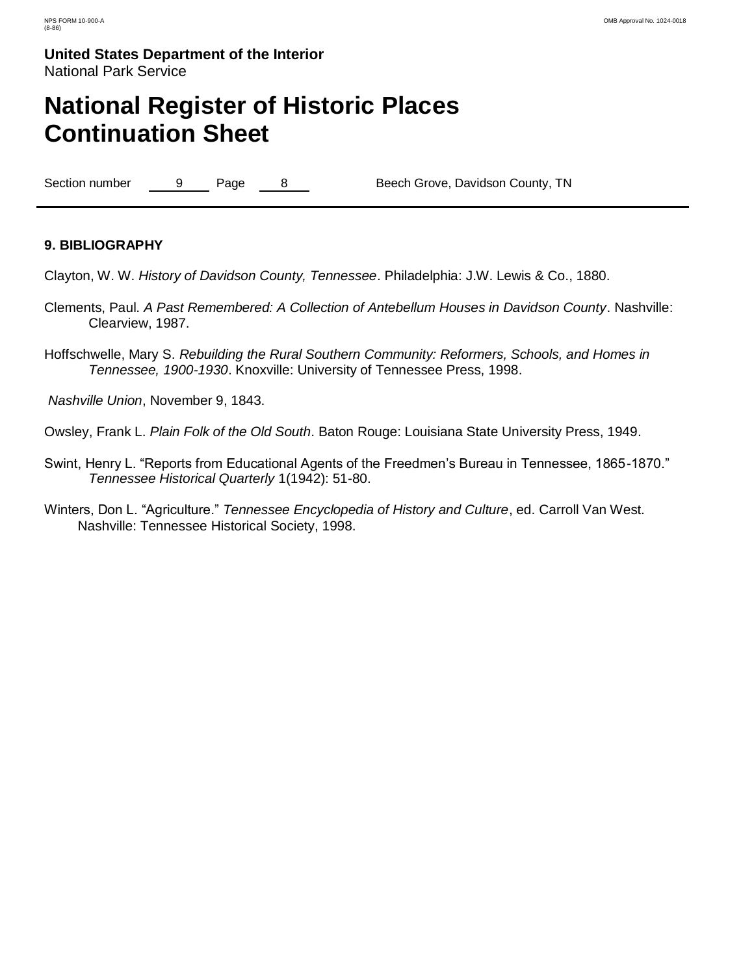# **National Register of Historic Places Continuation Sheet**

Section number 9 Page 8 Beech Grove, Davidson County, TN

### **9. BIBLIOGRAPHY**

Clayton, W. W. *History of Davidson County, Tennessee*. Philadelphia: J.W. Lewis & Co., 1880.

- Clements, Paul. *A Past Remembered: A Collection of Antebellum Houses in Davidson County*. Nashville: Clearview, 1987.
- Hoffschwelle, Mary S. *Rebuilding the Rural Southern Community: Reformers, Schools, and Homes in Tennessee, 1900-1930*. Knoxville: University of Tennessee Press, 1998.

*Nashville Union*, November 9, 1843.

Owsley, Frank L. *Plain Folk of the Old South*. Baton Rouge: Louisiana State University Press, 1949.

- Swint, Henry L. "Reports from Educational Agents of the Freedmen"s Bureau in Tennessee, 1865-1870." *Tennessee Historical Quarterly* 1(1942): 51-80.
- Winters, Don L. "Agriculture." *Tennessee Encyclopedia of History and Culture*, ed. Carroll Van West. Nashville: Tennessee Historical Society, 1998.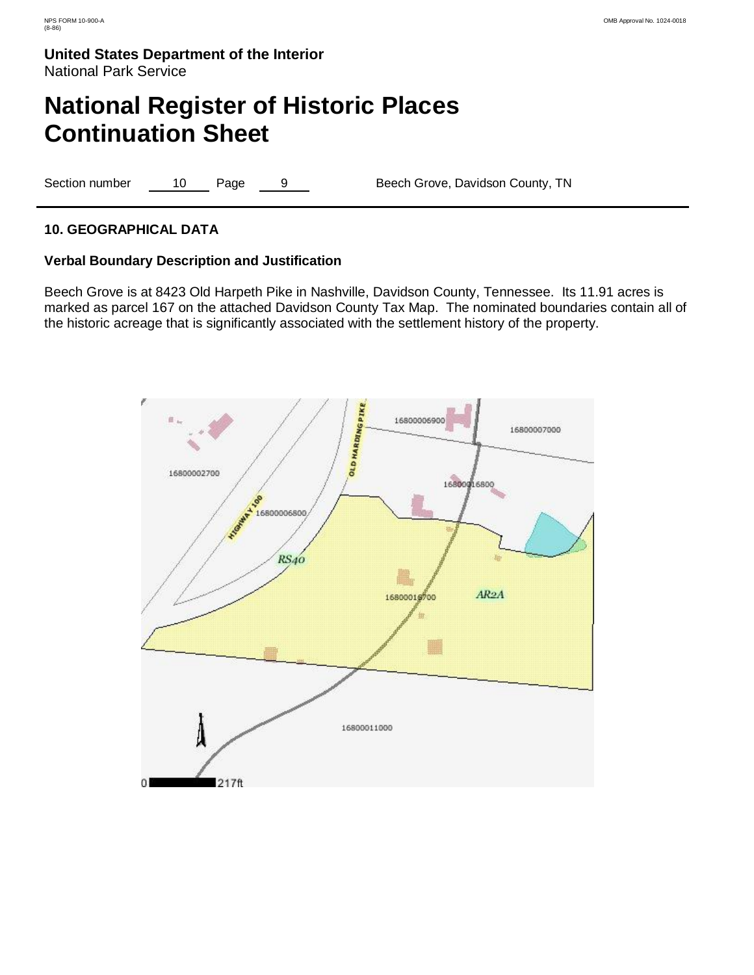# **National Register of Historic Places Continuation Sheet**

Section number 10 Page 9 Beech Grove, Davidson County, TN

### **10. GEOGRAPHICAL DATA**

### **Verbal Boundary Description and Justification**

Beech Grove is at 8423 Old Harpeth Pike in Nashville, Davidson County, Tennessee. Its 11.91 acres is marked as parcel 167 on the attached Davidson County Tax Map. The nominated boundaries contain all of the historic acreage that is significantly associated with the settlement history of the property.

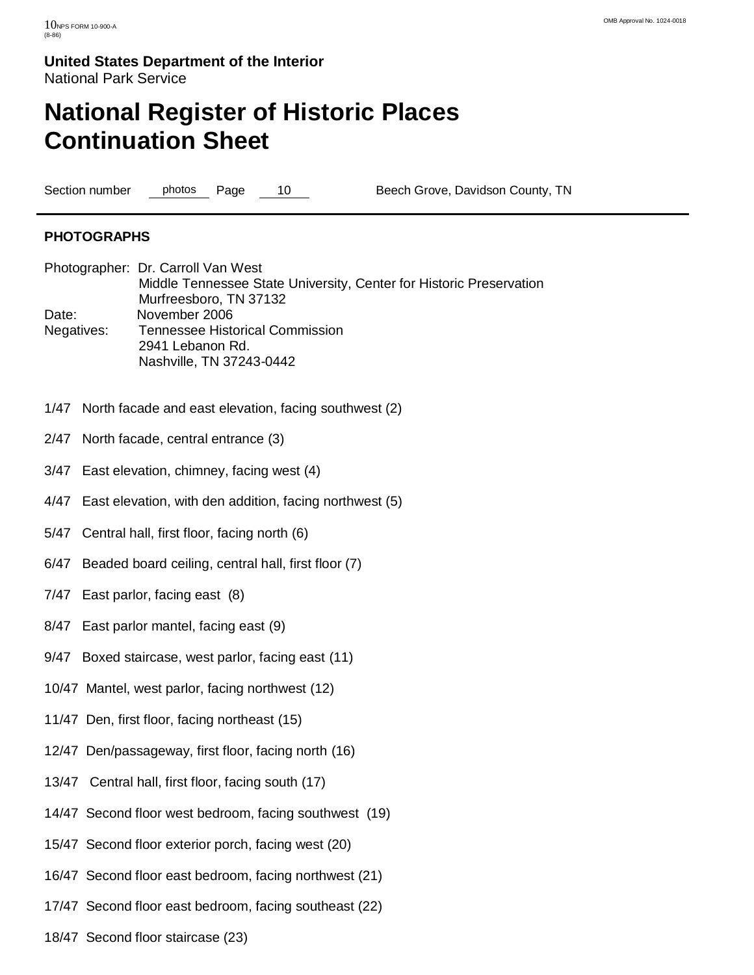# **National Register of Historic Places Continuation Sheet**

Section number photos Page 10 Beech Grove, Davidson County, TN

### **PHOTOGRAPHS**

- Photographer: Dr. Carroll Van West Middle Tennessee State University, Center for Historic Preservation Murfreesboro, TN 37132 Date: November 2006 Negatives: Tennessee Historical Commission 2941 Lebanon Rd. Nashville, TN 37243-0442
- 1/47 North facade and east elevation, facing southwest (2)
- 2/47 North facade, central entrance (3)
- 3/47 East elevation, chimney, facing west (4)
- 4/47 East elevation, with den addition, facing northwest (5)
- 5/47 Central hall, first floor, facing north (6)
- 6/47 Beaded board ceiling, central hall, first floor (7)
- 7/47 East parlor, facing east (8)
- 8/47 East parlor mantel, facing east (9)
- 9/47 Boxed staircase, west parlor, facing east (11)
- 10/47 Mantel, west parlor, facing northwest (12)
- 11/47 Den, first floor, facing northeast (15)
- 12/47 Den/passageway, first floor, facing north (16)
- 13/47 Central hall, first floor, facing south (17)
- 14/47 Second floor west bedroom, facing southwest (19)
- 15/47 Second floor exterior porch, facing west (20)
- 16/47 Second floor east bedroom, facing northwest (21)
- 17/47 Second floor east bedroom, facing southeast (22)
- 18/47 Second floor staircase (23)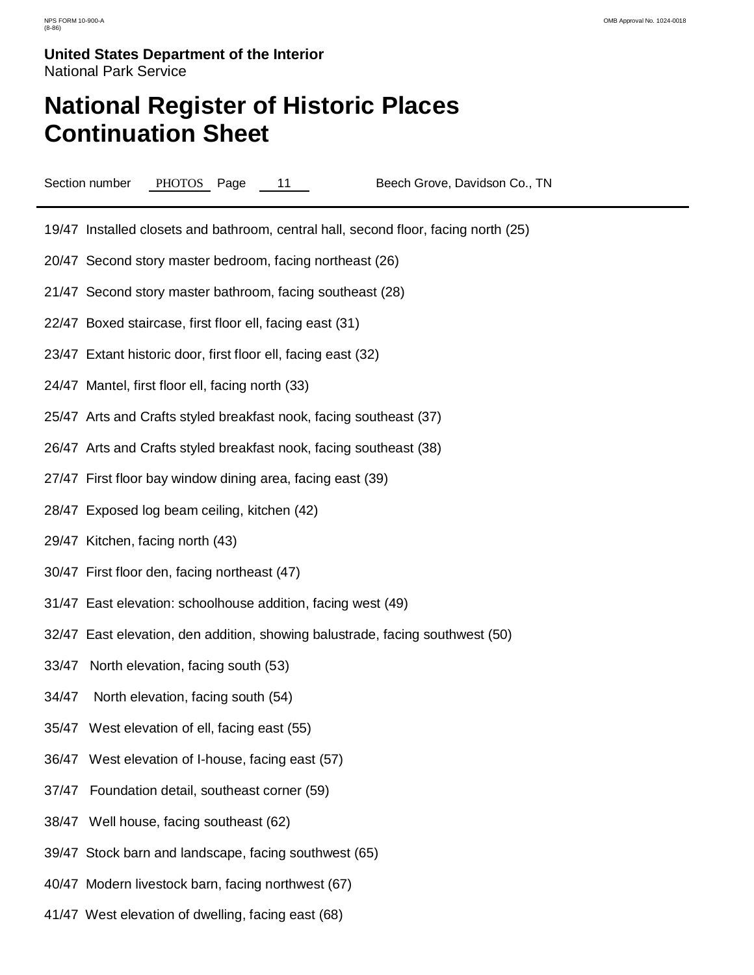# **National Register of Historic Places Continuation Sheet**

Section number PHOTOS Page 11 Beech Grove, Davidson Co., TN

19/47 Installed closets and bathroom, central hall, second floor, facing north (25)

- 20/47 Second story master bedroom, facing northeast (26)
- 21/47 Second story master bathroom, facing southeast (28)
- 22/47 Boxed staircase, first floor ell, facing east (31)
- 23/47 Extant historic door, first floor ell, facing east (32)
- 24/47 Mantel, first floor ell, facing north (33)
- 25/47 Arts and Crafts styled breakfast nook, facing southeast (37)
- 26/47 Arts and Crafts styled breakfast nook, facing southeast (38)
- 27/47 First floor bay window dining area, facing east (39)
- 28/47 Exposed log beam ceiling, kitchen (42)
- 29/47 Kitchen, facing north (43)
- 30/47 First floor den, facing northeast (47)
- 31/47 East elevation: schoolhouse addition, facing west (49)
- 32/47 East elevation, den addition, showing balustrade, facing southwest (50)
- 33/47 North elevation, facing south (53)
- 34/47 North elevation, facing south (54)
- 35/47 West elevation of ell, facing east (55)
- 36/47 West elevation of I-house, facing east (57)
- 37/47 Foundation detail, southeast corner (59)
- 38/47 Well house, facing southeast (62)
- 39/47 Stock barn and landscape, facing southwest (65)
- 40/47 Modern livestock barn, facing northwest (67)
- 41/47 West elevation of dwelling, facing east (68)